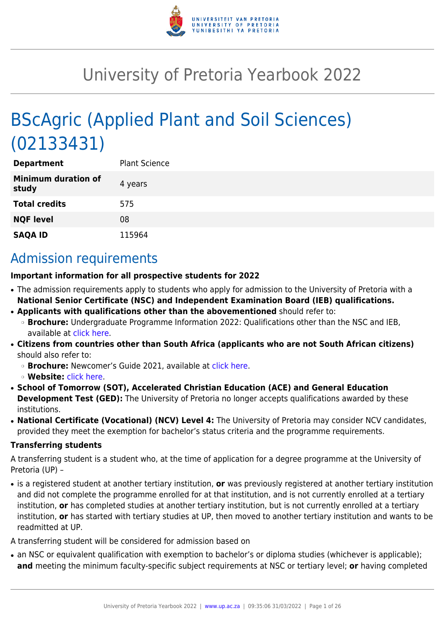

# University of Pretoria Yearbook 2022

# BScAgric (Applied Plant and Soil Sciences) (02133431)

| <b>Department</b>                   | <b>Plant Science</b> |
|-------------------------------------|----------------------|
| <b>Minimum duration of</b><br>study | 4 years              |
| <b>Total credits</b>                | 575                  |
| <b>NQF level</b>                    | 08                   |
| <b>SAQA ID</b>                      | 115964               |

## Admission requirements

#### **Important information for all prospective students for 2022**

- The admission requirements apply to students who apply for admission to the University of Pretoria with a **National Senior Certificate (NSC) and Independent Examination Board (IEB) qualifications.**
- **Applicants with qualifications other than the abovementioned** should refer to: ❍ **Brochure:** Undergraduate Programme Information 2022: Qualifications other than the NSC and IEB, available at [click here.](https://www.up.ac.za/students/article/2749263/admission-information)
- **Citizens from countries other than South Africa (applicants who are not South African citizens)** should also refer to:
	- ❍ **Brochure:** Newcomer's Guide 2021, available at [click here.](https://www.up.ac.za/students/article/2749263/admission-information)
	- ❍ **Website:** [click here](http://www.up.ac.za/international-cooperation-division).
- **School of Tomorrow (SOT), Accelerated Christian Education (ACE) and General Education Development Test (GED):** The University of Pretoria no longer accepts qualifications awarded by these institutions.
- **National Certificate (Vocational) (NCV) Level 4:** The University of Pretoria may consider NCV candidates, provided they meet the exemption for bachelor's status criteria and the programme requirements.

#### **Transferring students**

A transferring student is a student who, at the time of application for a degree programme at the University of Pretoria (UP) –

● is a registered student at another tertiary institution, **or** was previously registered at another tertiary institution and did not complete the programme enrolled for at that institution, and is not currently enrolled at a tertiary institution, **or** has completed studies at another tertiary institution, but is not currently enrolled at a tertiary institution, **or** has started with tertiary studies at UP, then moved to another tertiary institution and wants to be readmitted at UP.

A transferring student will be considered for admission based on

• an NSC or equivalent qualification with exemption to bachelor's or diploma studies (whichever is applicable); **and** meeting the minimum faculty-specific subject requirements at NSC or tertiary level; **or** having completed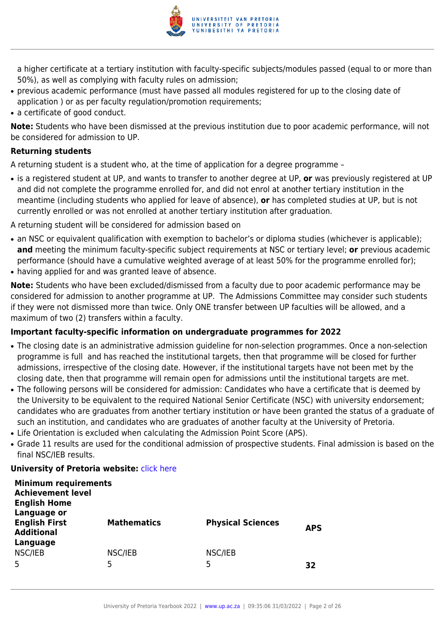

a higher certificate at a tertiary institution with faculty-specific subjects/modules passed (equal to or more than 50%), as well as complying with faculty rules on admission;

- previous academic performance (must have passed all modules registered for up to the closing date of application ) or as per faculty regulation/promotion requirements;
- a certificate of good conduct.

**Note:** Students who have been dismissed at the previous institution due to poor academic performance, will not be considered for admission to UP.

#### **Returning students**

A returning student is a student who, at the time of application for a degree programme –

● is a registered student at UP, and wants to transfer to another degree at UP, **or** was previously registered at UP and did not complete the programme enrolled for, and did not enrol at another tertiary institution in the meantime (including students who applied for leave of absence), **or** has completed studies at UP, but is not currently enrolled or was not enrolled at another tertiary institution after graduation.

A returning student will be considered for admission based on

- an NSC or equivalent qualification with exemption to bachelor's or diploma studies (whichever is applicable); **and** meeting the minimum faculty-specific subject requirements at NSC or tertiary level; **or** previous academic performance (should have a cumulative weighted average of at least 50% for the programme enrolled for);
- having applied for and was granted leave of absence.

**Note:** Students who have been excluded/dismissed from a faculty due to poor academic performance may be considered for admission to another programme at UP. The Admissions Committee may consider such students if they were not dismissed more than twice. Only ONE transfer between UP faculties will be allowed, and a maximum of two (2) transfers within a faculty.

#### **Important faculty-specific information on undergraduate programmes for 2022**

- The closing date is an administrative admission guideline for non-selection programmes. Once a non-selection programme is full and has reached the institutional targets, then that programme will be closed for further admissions, irrespective of the closing date. However, if the institutional targets have not been met by the closing date, then that programme will remain open for admissions until the institutional targets are met.
- The following persons will be considered for admission: Candidates who have a certificate that is deemed by the University to be equivalent to the required National Senior Certificate (NSC) with university endorsement; candidates who are graduates from another tertiary institution or have been granted the status of a graduate of such an institution, and candidates who are graduates of another faculty at the University of Pretoria.
- Life Orientation is excluded when calculating the Admission Point Score (APS).
- Grade 11 results are used for the conditional admission of prospective students. Final admission is based on the final NSC/IEB results.

#### **University of Pretoria website: [click here](http://www.up.ac.za/nas)**

| <b>Minimum requirements</b><br><b>Achievement level</b><br><b>English Home</b> |                    |                          |            |
|--------------------------------------------------------------------------------|--------------------|--------------------------|------------|
| Language or<br><b>English First</b><br><b>Additional</b><br>Language           | <b>Mathematics</b> | <b>Physical Sciences</b> | <b>APS</b> |
| NSC/IEB<br>5                                                                   | NSC/IEB<br>5       | NSC/IEB<br>5             | 32         |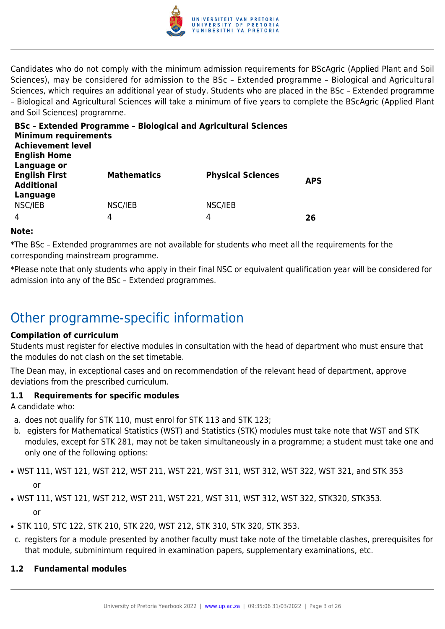

Candidates who do not comply with the minimum admission requirements for BScAgric (Applied Plant and Soil Sciences), may be considered for admission to the BSc – Extended programme – Biological and Agricultural Sciences, which requires an additional year of study. Students who are placed in the BSc – Extended programme – Biological and Agricultural Sciences will take a minimum of five years to complete the BScAgric (Applied Plant and Soil Sciences) programme.

| <b>Minimum requirements</b><br><b>Achievement level</b><br><b>English Home</b> | <b>BSc - Extended Programme - Biological and Agricultural Sciences</b> |                          |            |
|--------------------------------------------------------------------------------|------------------------------------------------------------------------|--------------------------|------------|
| Language or<br><b>English First</b><br><b>Additional</b><br>Language           | <b>Mathematics</b>                                                     | <b>Physical Sciences</b> | <b>APS</b> |
| NSC/IEB<br>4                                                                   | NSC/IEB<br>4                                                           | NSC/IEB<br>4             | 26         |

#### **Note:**

\*The BSc – Extended programmes are not available for students who meet all the requirements for the corresponding mainstream programme.

\*Please note that only students who apply in their final NSC or equivalent qualification year will be considered for admission into any of the BSc – Extended programmes.

### Other programme-specific information

#### **Compilation of curriculum**

Students must register for elective modules in consultation with the head of department who must ensure that the modules do not clash on the set timetable.

The Dean may, in exceptional cases and on recommendation of the relevant head of department, approve deviations from the prescribed curriculum.

#### **1.1 Requirements for specific modules**

A candidate who:

- a. does not qualify for STK 110, must enrol for STK 113 and STK 123;
- b. egisters for Mathematical Statistics (WST) and Statistics (STK) modules must take note that WST and STK modules, except for STK 281, may not be taken simultaneously in a programme; a student must take one and only one of the following options:
- WST 111, WST 121, WST 212, WST 211, WST 221, WST 311, WST 312, WST 322, WST 321, and STK 353 or
- WST 111, WST 121, WST 212, WST 211, WST 221, WST 311, WST 312, WST 322, STK320, STK353. or
- STK 110, STC 122, STK 210, STK 220, WST 212, STK 310, STK 320, STK 353.
- c. registers for a module presented by another faculty must take note of the timetable clashes, prerequisites for that module, subminimum required in examination papers, supplementary examinations, etc.

#### **1.2 Fundamental modules**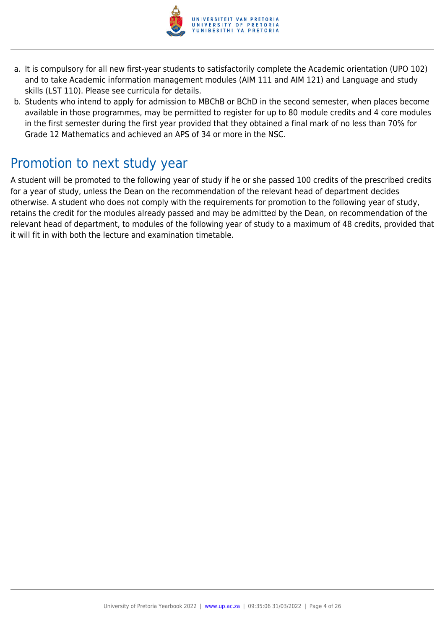

- a. It is compulsory for all new first-year students to satisfactorily complete the Academic orientation (UPO 102) and to take Academic information management modules (AIM 111 and AIM 121) and Language and study skills (LST 110). Please see curricula for details.
- b. Students who intend to apply for admission to MBChB or BChD in the second semester, when places become available in those programmes, may be permitted to register for up to 80 module credits and 4 core modules in the first semester during the first year provided that they obtained a final mark of no less than 70% for Grade 12 Mathematics and achieved an APS of 34 or more in the NSC.

### Promotion to next study year

A student will be promoted to the following year of study if he or she passed 100 credits of the prescribed credits for a year of study, unless the Dean on the recommendation of the relevant head of department decides otherwise. A student who does not comply with the requirements for promotion to the following year of study, retains the credit for the modules already passed and may be admitted by the Dean, on recommendation of the relevant head of department, to modules of the following year of study to a maximum of 48 credits, provided that it will fit in with both the lecture and examination timetable.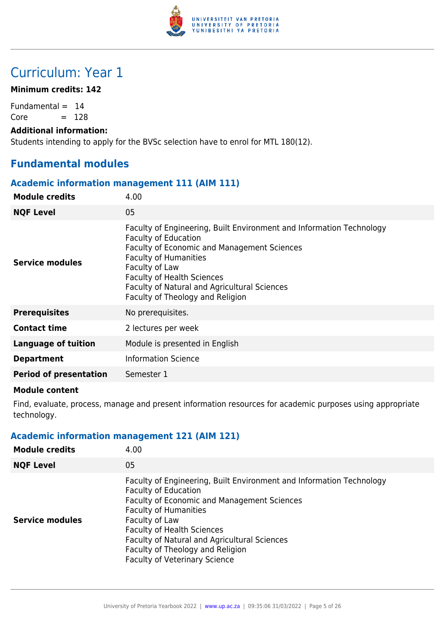

## Curriculum: Year 1

#### **Minimum credits: 142**

Fundamental  $= 14$  $Core = 128$ 

#### **Additional information:**

Students intending to apply for the BVSc selection have to enrol for MTL 180(12).

#### **Fundamental modules**

#### **Academic information management 111 (AIM 111)**

| <b>Module credits</b>         | 4.00                                                                                                                                                                                                                                                                                                                                 |
|-------------------------------|--------------------------------------------------------------------------------------------------------------------------------------------------------------------------------------------------------------------------------------------------------------------------------------------------------------------------------------|
| <b>NQF Level</b>              | 05                                                                                                                                                                                                                                                                                                                                   |
| <b>Service modules</b>        | Faculty of Engineering, Built Environment and Information Technology<br><b>Faculty of Education</b><br><b>Faculty of Economic and Management Sciences</b><br><b>Faculty of Humanities</b><br>Faculty of Law<br><b>Faculty of Health Sciences</b><br>Faculty of Natural and Agricultural Sciences<br>Faculty of Theology and Religion |
| <b>Prerequisites</b>          | No prerequisites.                                                                                                                                                                                                                                                                                                                    |
| <b>Contact time</b>           | 2 lectures per week                                                                                                                                                                                                                                                                                                                  |
| <b>Language of tuition</b>    | Module is presented in English                                                                                                                                                                                                                                                                                                       |
| <b>Department</b>             | <b>Information Science</b>                                                                                                                                                                                                                                                                                                           |
| <b>Period of presentation</b> | Semester 1                                                                                                                                                                                                                                                                                                                           |

#### **Module content**

Find, evaluate, process, manage and present information resources for academic purposes using appropriate technology.

#### **Academic information management 121 (AIM 121)**

| <b>Module credits</b>  | 4.00                                                                                                                                                                                                                                                                                                                                                                  |
|------------------------|-----------------------------------------------------------------------------------------------------------------------------------------------------------------------------------------------------------------------------------------------------------------------------------------------------------------------------------------------------------------------|
| <b>NQF Level</b>       | 05                                                                                                                                                                                                                                                                                                                                                                    |
| <b>Service modules</b> | Faculty of Engineering, Built Environment and Information Technology<br><b>Faculty of Education</b><br>Faculty of Economic and Management Sciences<br><b>Faculty of Humanities</b><br>Faculty of Law<br><b>Faculty of Health Sciences</b><br>Faculty of Natural and Agricultural Sciences<br>Faculty of Theology and Religion<br><b>Faculty of Veterinary Science</b> |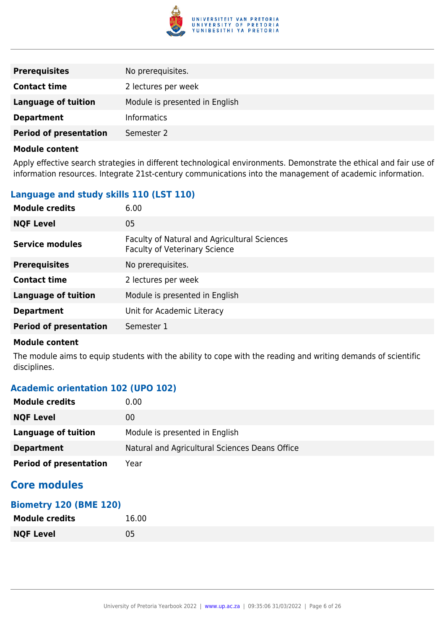

| <b>Prerequisites</b>          | No prerequisites.              |
|-------------------------------|--------------------------------|
| <b>Contact time</b>           | 2 lectures per week            |
| <b>Language of tuition</b>    | Module is presented in English |
| <b>Department</b>             | <b>Informatics</b>             |
| <b>Period of presentation</b> | Semester 2                     |

Apply effective search strategies in different technological environments. Demonstrate the ethical and fair use of information resources. Integrate 21st-century communications into the management of academic information.

#### **Language and study skills 110 (LST 110)**

| <b>Module credits</b>         | 6.00                                                                                 |
|-------------------------------|--------------------------------------------------------------------------------------|
| <b>NQF Level</b>              | 05                                                                                   |
| Service modules               | Faculty of Natural and Agricultural Sciences<br><b>Faculty of Veterinary Science</b> |
| <b>Prerequisites</b>          | No prerequisites.                                                                    |
| <b>Contact time</b>           | 2 lectures per week                                                                  |
| <b>Language of tuition</b>    | Module is presented in English                                                       |
| <b>Department</b>             | Unit for Academic Literacy                                                           |
| <b>Period of presentation</b> | Semester 1                                                                           |

#### **Module content**

The module aims to equip students with the ability to cope with the reading and writing demands of scientific disciplines.

#### **Academic orientation 102 (UPO 102)**

| <b>Module credits</b>         | 0.00                                           |
|-------------------------------|------------------------------------------------|
| <b>NQF Level</b>              | 00                                             |
| Language of tuition           | Module is presented in English                 |
| <b>Department</b>             | Natural and Agricultural Sciences Deans Office |
| <b>Period of presentation</b> | Year                                           |

#### **Core modules**

| <b>Biometry 120 (BME 120)</b> |       |  |
|-------------------------------|-------|--|
| <b>Module credits</b>         | 16.00 |  |
| <b>NQF Level</b>              | 05    |  |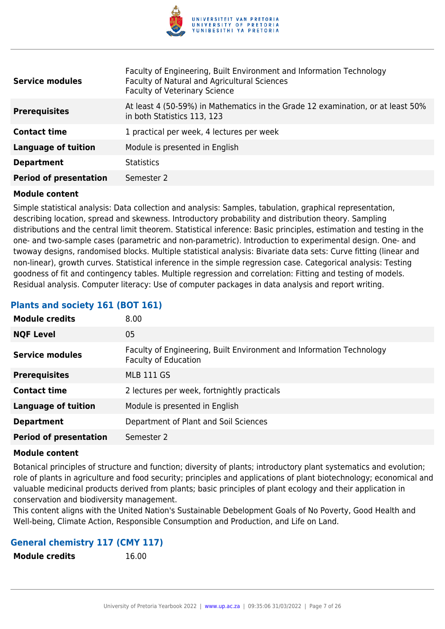

| <b>Service modules</b>        | Faculty of Engineering, Built Environment and Information Technology<br>Faculty of Natural and Agricultural Sciences<br><b>Faculty of Veterinary Science</b> |
|-------------------------------|--------------------------------------------------------------------------------------------------------------------------------------------------------------|
| <b>Prerequisites</b>          | At least 4 (50-59%) in Mathematics in the Grade 12 examination, or at least 50%<br>in both Statistics 113, 123                                               |
| <b>Contact time</b>           | 1 practical per week, 4 lectures per week                                                                                                                    |
| <b>Language of tuition</b>    | Module is presented in English                                                                                                                               |
| <b>Department</b>             | <b>Statistics</b>                                                                                                                                            |
| <b>Period of presentation</b> | Semester 2                                                                                                                                                   |

Simple statistical analysis: Data collection and analysis: Samples, tabulation, graphical representation, describing location, spread and skewness. Introductory probability and distribution theory. Sampling distributions and the central limit theorem. Statistical inference: Basic principles, estimation and testing in the one- and two-sample cases (parametric and non-parametric). Introduction to experimental design. One- and twoway designs, randomised blocks. Multiple statistical analysis: Bivariate data sets: Curve fitting (linear and non-linear), growth curves. Statistical inference in the simple regression case. Categorical analysis: Testing goodness of fit and contingency tables. Multiple regression and correlation: Fitting and testing of models. Residual analysis. Computer literacy: Use of computer packages in data analysis and report writing.

#### **Plants and society 161 (BOT 161)**

| <b>Module credits</b>         | 8.00                                                                                                |
|-------------------------------|-----------------------------------------------------------------------------------------------------|
| <b>NQF Level</b>              | 05                                                                                                  |
| <b>Service modules</b>        | Faculty of Engineering, Built Environment and Information Technology<br><b>Faculty of Education</b> |
| <b>Prerequisites</b>          | <b>MLB 111 GS</b>                                                                                   |
| <b>Contact time</b>           | 2 lectures per week, fortnightly practicals                                                         |
| <b>Language of tuition</b>    | Module is presented in English                                                                      |
| <b>Department</b>             | Department of Plant and Soil Sciences                                                               |
| <b>Period of presentation</b> | Semester 2                                                                                          |

#### **Module content**

Botanical principles of structure and function; diversity of plants; introductory plant systematics and evolution; role of plants in agriculture and food security; principles and applications of plant biotechnology; economical and valuable medicinal products derived from plants; basic principles of plant ecology and their application in conservation and biodiversity management.

This content aligns with the United Nation's Sustainable Debelopment Goals of No Poverty, Good Health and Well-being, Climate Action, Responsible Consumption and Production, and Life on Land.

#### **General chemistry 117 (CMY 117)**

**Module credits** 16.00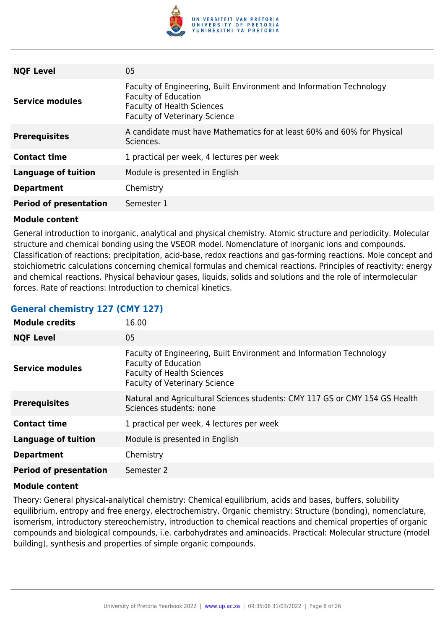

| <b>NQF Level</b>              | 05                                                                                                                                                                               |
|-------------------------------|----------------------------------------------------------------------------------------------------------------------------------------------------------------------------------|
| <b>Service modules</b>        | Faculty of Engineering, Built Environment and Information Technology<br><b>Faculty of Education</b><br><b>Faculty of Health Sciences</b><br><b>Faculty of Veterinary Science</b> |
| <b>Prerequisites</b>          | A candidate must have Mathematics for at least 60% and 60% for Physical<br>Sciences.                                                                                             |
| <b>Contact time</b>           | 1 practical per week, 4 lectures per week                                                                                                                                        |
| <b>Language of tuition</b>    | Module is presented in English                                                                                                                                                   |
| <b>Department</b>             | Chemistry                                                                                                                                                                        |
| <b>Period of presentation</b> | Semester 1                                                                                                                                                                       |

General introduction to inorganic, analytical and physical chemistry. Atomic structure and periodicity. Molecular structure and chemical bonding using the VSEOR model. Nomenclature of inorganic ions and compounds. Classification of reactions: precipitation, acid-base, redox reactions and gas-forming reactions. Mole concept and stoichiometric calculations concerning chemical formulas and chemical reactions. Principles of reactivity: energy and chemical reactions. Physical behaviour gases, liquids, solids and solutions and the role of intermolecular forces. Rate of reactions: Introduction to chemical kinetics.

#### **General chemistry 127 (CMY 127)**

| <b>Module credits</b>         | 16.00                                                                                                                                                                            |
|-------------------------------|----------------------------------------------------------------------------------------------------------------------------------------------------------------------------------|
| <b>NQF Level</b>              | 05                                                                                                                                                                               |
| <b>Service modules</b>        | Faculty of Engineering, Built Environment and Information Technology<br><b>Faculty of Education</b><br><b>Faculty of Health Sciences</b><br><b>Faculty of Veterinary Science</b> |
| <b>Prerequisites</b>          | Natural and Agricultural Sciences students: CMY 117 GS or CMY 154 GS Health<br>Sciences students: none                                                                           |
| <b>Contact time</b>           | 1 practical per week, 4 lectures per week                                                                                                                                        |
| <b>Language of tuition</b>    | Module is presented in English                                                                                                                                                   |
| <b>Department</b>             | Chemistry                                                                                                                                                                        |
| <b>Period of presentation</b> | Semester 2                                                                                                                                                                       |

#### **Module content**

Theory: General physical-analytical chemistry: Chemical equilibrium, acids and bases, buffers, solubility equilibrium, entropy and free energy, electrochemistry. Organic chemistry: Structure (bonding), nomenclature, isomerism, introductory stereochemistry, introduction to chemical reactions and chemical properties of organic compounds and biological compounds, i.e. carbohydrates and aminoacids. Practical: Molecular structure (model building), synthesis and properties of simple organic compounds.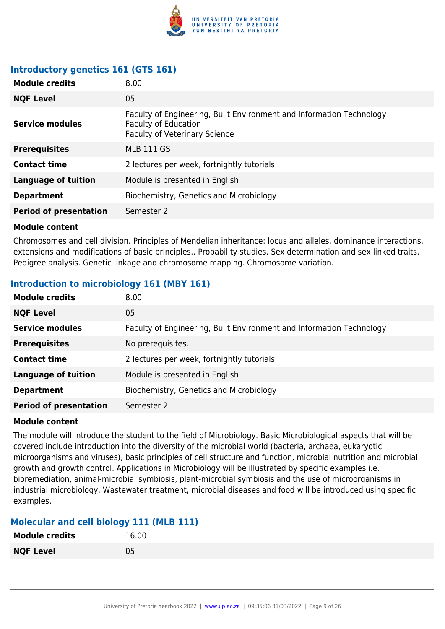

#### **Introductory genetics 161 (GTS 161)**

| <b>Module credits</b>         | 8.00                                                                                                                                        |
|-------------------------------|---------------------------------------------------------------------------------------------------------------------------------------------|
| <b>NQF Level</b>              | 05                                                                                                                                          |
| <b>Service modules</b>        | Faculty of Engineering, Built Environment and Information Technology<br><b>Faculty of Education</b><br><b>Faculty of Veterinary Science</b> |
| <b>Prerequisites</b>          | <b>MLB 111 GS</b>                                                                                                                           |
| <b>Contact time</b>           | 2 lectures per week, fortnightly tutorials                                                                                                  |
| <b>Language of tuition</b>    | Module is presented in English                                                                                                              |
| <b>Department</b>             | Biochemistry, Genetics and Microbiology                                                                                                     |
| <b>Period of presentation</b> | Semester 2                                                                                                                                  |

#### **Module content**

Chromosomes and cell division. Principles of Mendelian inheritance: locus and alleles, dominance interactions, extensions and modifications of basic principles.. Probability studies. Sex determination and sex linked traits. Pedigree analysis. Genetic linkage and chromosome mapping. Chromosome variation.

#### **Introduction to microbiology 161 (MBY 161)**

| <b>Module credits</b>         | 8.00                                                                 |
|-------------------------------|----------------------------------------------------------------------|
| <b>NQF Level</b>              | 05                                                                   |
| <b>Service modules</b>        | Faculty of Engineering, Built Environment and Information Technology |
| <b>Prerequisites</b>          | No prerequisites.                                                    |
| <b>Contact time</b>           | 2 lectures per week, fortnightly tutorials                           |
| <b>Language of tuition</b>    | Module is presented in English                                       |
| <b>Department</b>             | Biochemistry, Genetics and Microbiology                              |
| <b>Period of presentation</b> | Semester 2                                                           |
|                               |                                                                      |

#### **Module content**

The module will introduce the student to the field of Microbiology. Basic Microbiological aspects that will be covered include introduction into the diversity of the microbial world (bacteria, archaea, eukaryotic microorganisms and viruses), basic principles of cell structure and function, microbial nutrition and microbial growth and growth control. Applications in Microbiology will be illustrated by specific examples i.e. bioremediation, animal-microbial symbiosis, plant-microbial symbiosis and the use of microorganisms in industrial microbiology. Wastewater treatment, microbial diseases and food will be introduced using specific examples.

#### **Molecular and cell biology 111 (MLB 111)**

| <b>Module credits</b> | 16.00 |
|-----------------------|-------|
| <b>NQF Level</b>      | 05    |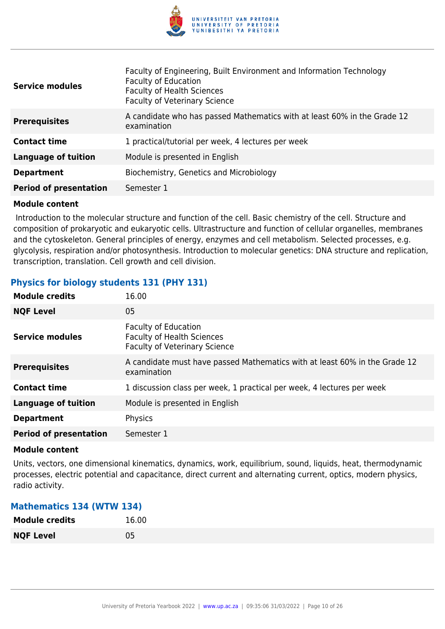

| <b>Service modules</b>        | Faculty of Engineering, Built Environment and Information Technology<br><b>Faculty of Education</b><br><b>Faculty of Health Sciences</b><br><b>Faculty of Veterinary Science</b> |
|-------------------------------|----------------------------------------------------------------------------------------------------------------------------------------------------------------------------------|
| <b>Prerequisites</b>          | A candidate who has passed Mathematics with at least 60% in the Grade 12<br>examination                                                                                          |
| <b>Contact time</b>           | 1 practical/tutorial per week, 4 lectures per week                                                                                                                               |
| <b>Language of tuition</b>    | Module is presented in English                                                                                                                                                   |
| <b>Department</b>             | Biochemistry, Genetics and Microbiology                                                                                                                                          |
| <b>Period of presentation</b> | Semester 1                                                                                                                                                                       |

 Introduction to the molecular structure and function of the cell. Basic chemistry of the cell. Structure and composition of prokaryotic and eukaryotic cells. Ultrastructure and function of cellular organelles, membranes and the cytoskeleton. General principles of energy, enzymes and cell metabolism. Selected processes, e.g. glycolysis, respiration and/or photosynthesis. Introduction to molecular genetics: DNA structure and replication, transcription, translation. Cell growth and cell division.

#### **Physics for biology students 131 (PHY 131)**

| <b>Module credits</b>         | 16.00                                                                                                    |
|-------------------------------|----------------------------------------------------------------------------------------------------------|
| <b>NQF Level</b>              | 05                                                                                                       |
| <b>Service modules</b>        | <b>Faculty of Education</b><br><b>Faculty of Health Sciences</b><br><b>Faculty of Veterinary Science</b> |
| <b>Prerequisites</b>          | A candidate must have passed Mathematics with at least 60% in the Grade 12<br>examination                |
| <b>Contact time</b>           | 1 discussion class per week, 1 practical per week, 4 lectures per week                                   |
| <b>Language of tuition</b>    | Module is presented in English                                                                           |
| <b>Department</b>             | Physics                                                                                                  |
| <b>Period of presentation</b> | Semester 1                                                                                               |

#### **Module content**

Units, vectors, one dimensional kinematics, dynamics, work, equilibrium, sound, liquids, heat, thermodynamic processes, electric potential and capacitance, direct current and alternating current, optics, modern physics, radio activity.

#### **Mathematics 134 (WTW 134)**

| <b>Module credits</b> | 16.00 |
|-----------------------|-------|
| <b>NQF Level</b>      | 05    |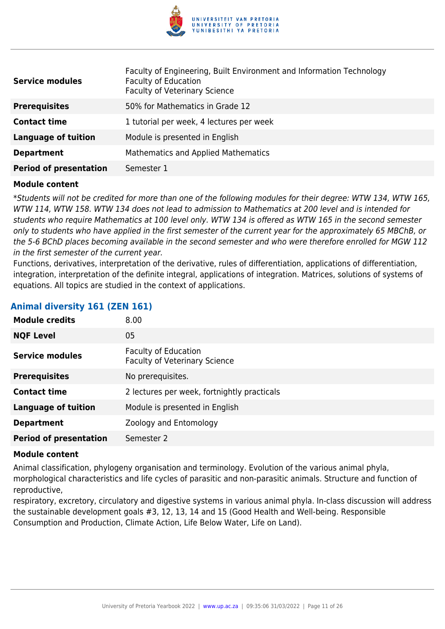

| <b>Service modules</b>        | Faculty of Engineering, Built Environment and Information Technology<br><b>Faculty of Education</b><br><b>Faculty of Veterinary Science</b> |
|-------------------------------|---------------------------------------------------------------------------------------------------------------------------------------------|
| <b>Prerequisites</b>          | 50% for Mathematics in Grade 12                                                                                                             |
| <b>Contact time</b>           | 1 tutorial per week, 4 lectures per week                                                                                                    |
| <b>Language of tuition</b>    | Module is presented in English                                                                                                              |
| <b>Department</b>             | Mathematics and Applied Mathematics                                                                                                         |
| <b>Period of presentation</b> | Semester 1                                                                                                                                  |

\*Students will not be credited for more than one of the following modules for their degree: WTW 134, WTW 165, WTW 114, WTW 158. WTW 134 does not lead to admission to Mathematics at 200 level and is intended for students who require Mathematics at 100 level only. WTW 134 is offered as WTW 165 in the second semester only to students who have applied in the first semester of the current year for the approximately 65 MBChB, or the 5-6 BChD places becoming available in the second semester and who were therefore enrolled for MGW 112 in the first semester of the current year.

Functions, derivatives, interpretation of the derivative, rules of differentiation, applications of differentiation, integration, interpretation of the definite integral, applications of integration. Matrices, solutions of systems of equations. All topics are studied in the context of applications.

| Animal diversity 161 (ZEN 161) |  |  |  |  |  |  |
|--------------------------------|--|--|--|--|--|--|
|--------------------------------|--|--|--|--|--|--|

| <b>Module credits</b>         | 8.00                                                         |
|-------------------------------|--------------------------------------------------------------|
| <b>NQF Level</b>              | 05                                                           |
| <b>Service modules</b>        | Faculty of Education<br><b>Faculty of Veterinary Science</b> |
| <b>Prerequisites</b>          | No prerequisites.                                            |
| <b>Contact time</b>           | 2 lectures per week, fortnightly practicals                  |
| <b>Language of tuition</b>    | Module is presented in English                               |
| <b>Department</b>             | Zoology and Entomology                                       |
| <b>Period of presentation</b> | Semester 2                                                   |

#### **Module content**

Animal classification, phylogeny organisation and terminology. Evolution of the various animal phyla, morphological characteristics and life cycles of parasitic and non-parasitic animals. Structure and function of reproductive,

respiratory, excretory, circulatory and digestive systems in various animal phyla. In-class discussion will address the sustainable development goals #3, 12, 13, 14 and 15 (Good Health and Well-being. Responsible Consumption and Production, Climate Action, Life Below Water, Life on Land).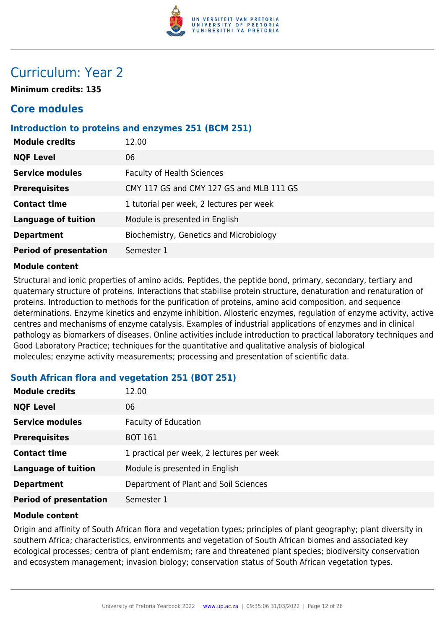

## Curriculum: Year 2

**Minimum credits: 135**

### **Core modules**

#### **Introduction to proteins and enzymes 251 (BCM 251)**

| 06<br><b>NQF Level</b><br><b>Service modules</b><br><b>Faculty of Health Sciences</b> |
|---------------------------------------------------------------------------------------|
|                                                                                       |
|                                                                                       |
| CMY 117 GS and CMY 127 GS and MLB 111 GS<br><b>Prerequisites</b>                      |
| 1 tutorial per week, 2 lectures per week<br><b>Contact time</b>                       |
| <b>Language of tuition</b><br>Module is presented in English                          |
| Biochemistry, Genetics and Microbiology<br><b>Department</b>                          |
| <b>Period of presentation</b><br>Semester 1                                           |

#### **Module content**

Structural and ionic properties of amino acids. Peptides, the peptide bond, primary, secondary, tertiary and quaternary structure of proteins. Interactions that stabilise protein structure, denaturation and renaturation of proteins. Introduction to methods for the purification of proteins, amino acid composition, and sequence determinations. Enzyme kinetics and enzyme inhibition. Allosteric enzymes, regulation of enzyme activity, active centres and mechanisms of enzyme catalysis. Examples of industrial applications of enzymes and in clinical pathology as biomarkers of diseases. Online activities include introduction to practical laboratory techniques and Good Laboratory Practice; techniques for the quantitative and qualitative analysis of biological molecules; enzyme activity measurements; processing and presentation of scientific data.

| <b>Module credits</b>         | 12.00                                     |
|-------------------------------|-------------------------------------------|
| <b>NQF Level</b>              | 06                                        |
| <b>Service modules</b>        | <b>Faculty of Education</b>               |
| <b>Prerequisites</b>          | <b>BOT 161</b>                            |
| <b>Contact time</b>           | 1 practical per week, 2 lectures per week |
| <b>Language of tuition</b>    | Module is presented in English            |
| <b>Department</b>             | Department of Plant and Soil Sciences     |
| <b>Period of presentation</b> | Semester 1                                |

#### **South African flora and vegetation 251 (BOT 251)**

#### **Module content**

Origin and affinity of South African flora and vegetation types; principles of plant geography; plant diversity in southern Africa; characteristics, environments and vegetation of South African biomes and associated key ecological processes; centra of plant endemism; rare and threatened plant species; biodiversity conservation and ecosystem management; invasion biology; conservation status of South African vegetation types.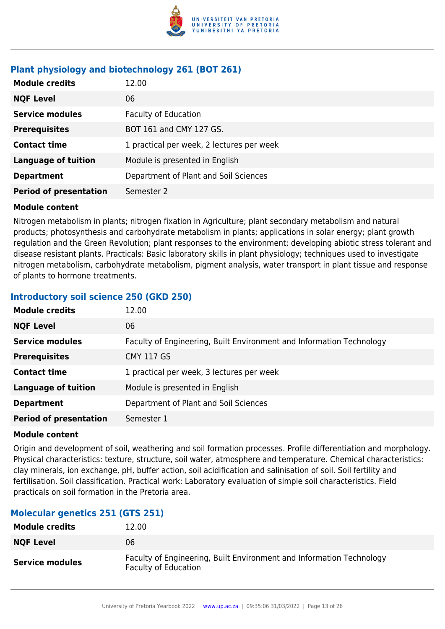

#### **Plant physiology and biotechnology 261 (BOT 261)**

| <b>Module credits</b>         | 12.00                                     |
|-------------------------------|-------------------------------------------|
| <b>NQF Level</b>              | 06                                        |
| <b>Service modules</b>        | <b>Faculty of Education</b>               |
| <b>Prerequisites</b>          | BOT 161 and CMY 127 GS.                   |
| <b>Contact time</b>           | 1 practical per week, 2 lectures per week |
| <b>Language of tuition</b>    | Module is presented in English            |
| <b>Department</b>             | Department of Plant and Soil Sciences     |
| <b>Period of presentation</b> | Semester 2                                |

#### **Module content**

Nitrogen metabolism in plants; nitrogen fixation in Agriculture; plant secondary metabolism and natural products; photosynthesis and carbohydrate metabolism in plants; applications in solar energy; plant growth regulation and the Green Revolution; plant responses to the environment; developing abiotic stress tolerant and disease resistant plants. Practicals: Basic laboratory skills in plant physiology; techniques used to investigate nitrogen metabolism, carbohydrate metabolism, pigment analysis, water transport in plant tissue and response of plants to hormone treatments.

#### **Introductory soil science 250 (GKD 250)**

| <b>Module credits</b>         | 12.00                                                                |
|-------------------------------|----------------------------------------------------------------------|
| <b>NQF Level</b>              | 06                                                                   |
| <b>Service modules</b>        | Faculty of Engineering, Built Environment and Information Technology |
| <b>Prerequisites</b>          | <b>CMY 117 GS</b>                                                    |
| <b>Contact time</b>           | 1 practical per week, 3 lectures per week                            |
| <b>Language of tuition</b>    | Module is presented in English                                       |
| <b>Department</b>             | Department of Plant and Soil Sciences                                |
| <b>Period of presentation</b> | Semester 1                                                           |

#### **Module content**

Origin and development of soil, weathering and soil formation processes. Profile differentiation and morphology. Physical characteristics: texture, structure, soil water, atmosphere and temperature. Chemical characteristics: clay minerals, ion exchange, pH, buffer action, soil acidification and salinisation of soil. Soil fertility and fertilisation. Soil classification. Practical work: Laboratory evaluation of simple soil characteristics. Field practicals on soil formation in the Pretoria area.

#### **Molecular genetics 251 (GTS 251)**

| <b>Module credits</b>  | 12.00                                                                                               |
|------------------------|-----------------------------------------------------------------------------------------------------|
| <b>NQF Level</b>       | 06                                                                                                  |
| <b>Service modules</b> | Faculty of Engineering, Built Environment and Information Technology<br><b>Faculty of Education</b> |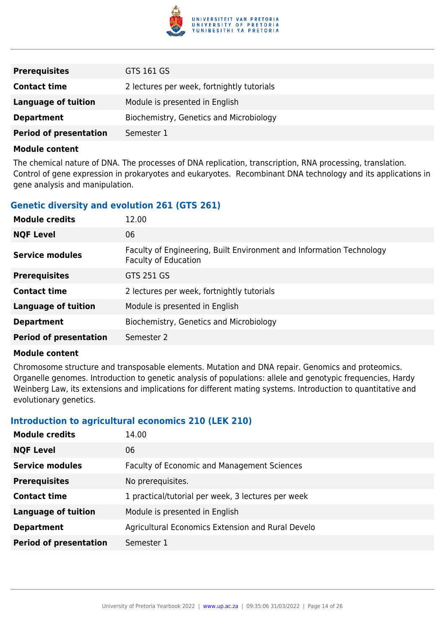

| <b>Prerequisites</b>          | GTS 161 GS                                 |
|-------------------------------|--------------------------------------------|
| <b>Contact time</b>           | 2 lectures per week, fortnightly tutorials |
| <b>Language of tuition</b>    | Module is presented in English             |
| <b>Department</b>             | Biochemistry, Genetics and Microbiology    |
| <b>Period of presentation</b> | Semester 1                                 |

The chemical nature of DNA. The processes of DNA replication, transcription, RNA processing, translation. Control of gene expression in prokaryotes and eukaryotes. Recombinant DNA technology and its applications in gene analysis and manipulation.

#### **Genetic diversity and evolution 261 (GTS 261)**

| <b>Module credits</b>         | 12.00                                                                                               |
|-------------------------------|-----------------------------------------------------------------------------------------------------|
| <b>NQF Level</b>              | 06                                                                                                  |
| <b>Service modules</b>        | Faculty of Engineering, Built Environment and Information Technology<br><b>Faculty of Education</b> |
| <b>Prerequisites</b>          | GTS 251 GS                                                                                          |
| <b>Contact time</b>           | 2 lectures per week, fortnightly tutorials                                                          |
| <b>Language of tuition</b>    | Module is presented in English                                                                      |
| <b>Department</b>             | Biochemistry, Genetics and Microbiology                                                             |
| <b>Period of presentation</b> | Semester 2                                                                                          |

#### **Module content**

Chromosome structure and transposable elements. Mutation and DNA repair. Genomics and proteomics. Organelle genomes. Introduction to genetic analysis of populations: allele and genotypic frequencies, Hardy Weinberg Law, its extensions and implications for different mating systems. Introduction to quantitative and evolutionary genetics.

#### **Introduction to agricultural economics 210 (LEK 210)**

| <b>Module credits</b>         | 14.00                                              |
|-------------------------------|----------------------------------------------------|
| <b>NQF Level</b>              | 06                                                 |
| <b>Service modules</b>        | <b>Faculty of Economic and Management Sciences</b> |
| <b>Prerequisites</b>          | No prerequisites.                                  |
| <b>Contact time</b>           | 1 practical/tutorial per week, 3 lectures per week |
| <b>Language of tuition</b>    | Module is presented in English                     |
| <b>Department</b>             | Agricultural Economics Extension and Rural Develo  |
| <b>Period of presentation</b> | Semester 1                                         |
|                               |                                                    |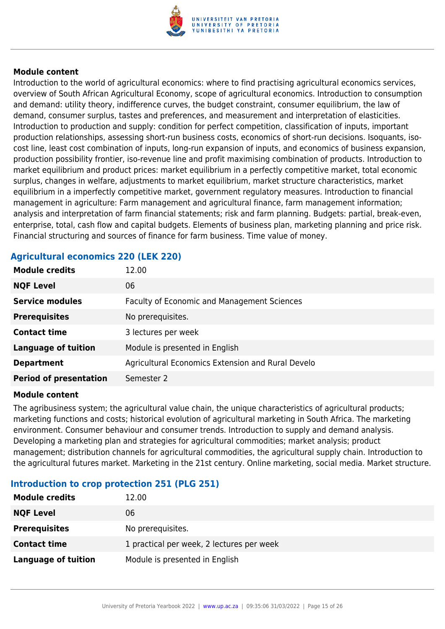

Introduction to the world of agricultural economics: where to find practising agricultural economics services, overview of South African Agricultural Economy, scope of agricultural economics. Introduction to consumption and demand: utility theory, indifference curves, the budget constraint, consumer equilibrium, the law of demand, consumer surplus, tastes and preferences, and measurement and interpretation of elasticities. Introduction to production and supply: condition for perfect competition, classification of inputs, important production relationships, assessing short-run business costs, economics of short-run decisions. Isoquants, isocost line, least cost combination of inputs, long-run expansion of inputs, and economics of business expansion, production possibility frontier, iso-revenue line and profit maximising combination of products. Introduction to market equilibrium and product prices: market equilibrium in a perfectly competitive market, total economic surplus, changes in welfare, adjustments to market equilibrium, market structure characteristics, market equilibrium in a imperfectly competitive market, government regulatory measures. Introduction to financial management in agriculture: Farm management and agricultural finance, farm management information; analysis and interpretation of farm financial statements; risk and farm planning. Budgets: partial, break-even, enterprise, total, cash flow and capital budgets. Elements of business plan, marketing planning and price risk. Financial structuring and sources of finance for farm business. Time value of money.

| <b>Module credits</b>         | 12.00                                             |
|-------------------------------|---------------------------------------------------|
| <b>NQF Level</b>              | 06                                                |
| <b>Service modules</b>        | Faculty of Economic and Management Sciences       |
| <b>Prerequisites</b>          | No prerequisites.                                 |
| <b>Contact time</b>           | 3 lectures per week                               |
| <b>Language of tuition</b>    | Module is presented in English                    |
| <b>Department</b>             | Agricultural Economics Extension and Rural Develo |
| <b>Period of presentation</b> | Semester 2                                        |

#### **Agricultural economics 220 (LEK 220)**

#### **Module content**

The agribusiness system; the agricultural value chain, the unique characteristics of agricultural products; marketing functions and costs; historical evolution of agricultural marketing in South Africa. The marketing environment. Consumer behaviour and consumer trends. Introduction to supply and demand analysis. Developing a marketing plan and strategies for agricultural commodities; market analysis; product management; distribution channels for agricultural commodities, the agricultural supply chain. Introduction to the agricultural futures market. Marketing in the 21st century. Online marketing, social media. Market structure.

#### **Introduction to crop protection 251 (PLG 251)**

| <b>Module credits</b> | 12.00                                     |
|-----------------------|-------------------------------------------|
| <b>NQF Level</b>      | 06                                        |
| <b>Prerequisites</b>  | No prerequisites.                         |
| <b>Contact time</b>   | 1 practical per week, 2 lectures per week |
| Language of tuition   | Module is presented in English            |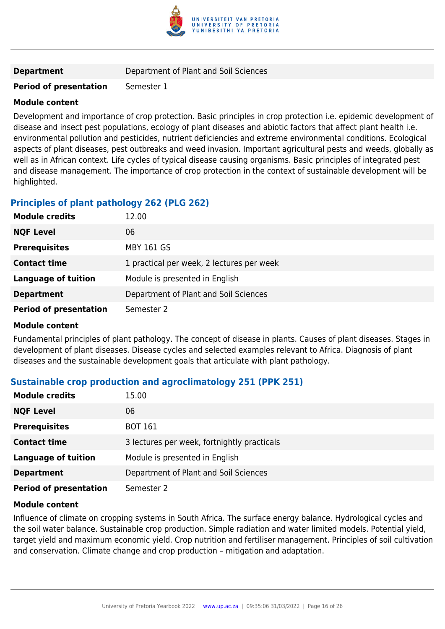

**Department Department Department** of Plant and Soil Sciences

#### **Period of presentation** Semester 1

#### **Module content**

Development and importance of crop protection. Basic principles in crop protection i.e. epidemic development of disease and insect pest populations, ecology of plant diseases and abiotic factors that affect plant health i.e. environmental pollution and pesticides, nutrient deficiencies and extreme environmental conditions. Ecological aspects of plant diseases, pest outbreaks and weed invasion. Important agricultural pests and weeds, globally as well as in African context. Life cycles of typical disease causing organisms. Basic principles of integrated pest and disease management. The importance of crop protection in the context of sustainable development will be highlighted.

#### **Principles of plant pathology 262 (PLG 262)**

| 12.00                                     |
|-------------------------------------------|
| 06                                        |
| <b>MBY 161 GS</b>                         |
| 1 practical per week, 2 lectures per week |
| Module is presented in English            |
| Department of Plant and Soil Sciences     |
| Semester 2                                |
|                                           |

#### **Module content**

Fundamental principles of plant pathology. The concept of disease in plants. Causes of plant diseases. Stages in development of plant diseases. Disease cycles and selected examples relevant to Africa. Diagnosis of plant diseases and the sustainable development goals that articulate with plant pathology.

#### **Sustainable crop production and agroclimatology 251 (PPK 251)**

| <b>Module credits</b>         | 15.00                                       |
|-------------------------------|---------------------------------------------|
| <b>NQF Level</b>              | 06                                          |
| <b>Prerequisites</b>          | <b>BOT 161</b>                              |
| <b>Contact time</b>           | 3 lectures per week, fortnightly practicals |
| <b>Language of tuition</b>    | Module is presented in English              |
| <b>Department</b>             | Department of Plant and Soil Sciences       |
| <b>Period of presentation</b> | Semester 2                                  |

#### **Module content**

Influence of climate on cropping systems in South Africa. The surface energy balance. Hydrological cycles and the soil water balance. Sustainable crop production. Simple radiation and water limited models. Potential yield, target yield and maximum economic yield. Crop nutrition and fertiliser management. Principles of soil cultivation and conservation. Climate change and crop production – mitigation and adaptation.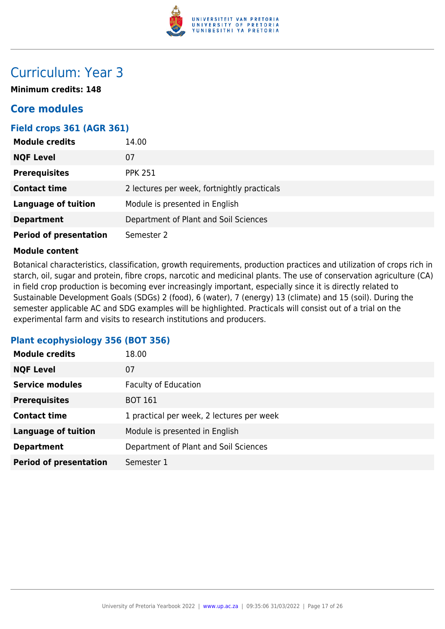

### Curriculum: Year 3

**Minimum credits: 148**

### **Core modules**

#### **Field crops 361 (AGR 361)**

| <b>Module credits</b>         | 14.00                                       |
|-------------------------------|---------------------------------------------|
| <b>NQF Level</b>              | 07                                          |
| <b>Prerequisites</b>          | <b>PPK 251</b>                              |
| <b>Contact time</b>           | 2 lectures per week, fortnightly practicals |
| <b>Language of tuition</b>    | Module is presented in English              |
| <b>Department</b>             | Department of Plant and Soil Sciences       |
| <b>Period of presentation</b> | Semester 2                                  |

#### **Module content**

Botanical characteristics, classification, growth requirements, production practices and utilization of crops rich in starch, oil, sugar and protein, fibre crops, narcotic and medicinal plants. The use of conservation agriculture (CA) in field crop production is becoming ever increasingly important, especially since it is directly related to Sustainable Development Goals (SDGs) 2 (food), 6 (water), 7 (energy) 13 (climate) and 15 (soil). During the semester applicable AC and SDG examples will be highlighted. Practicals will consist out of a trial on the experimental farm and visits to research institutions and producers.

#### **Plant ecophysiology 356 (BOT 356)**

| <b>Module credits</b>         | 18.00                                     |
|-------------------------------|-------------------------------------------|
| <b>NQF Level</b>              | 07                                        |
| <b>Service modules</b>        | <b>Faculty of Education</b>               |
| <b>Prerequisites</b>          | <b>BOT 161</b>                            |
| <b>Contact time</b>           | 1 practical per week, 2 lectures per week |
| <b>Language of tuition</b>    | Module is presented in English            |
| <b>Department</b>             | Department of Plant and Soil Sciences     |
| <b>Period of presentation</b> | Semester 1                                |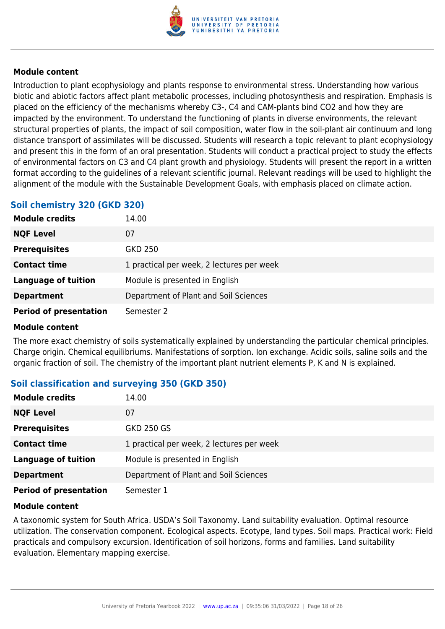

Introduction to plant ecophysiology and plants response to environmental stress. Understanding how various biotic and abiotic factors affect plant metabolic processes, including photosynthesis and respiration. Emphasis is placed on the efficiency of the mechanisms whereby C3-, C4 and CAM-plants bind CO2 and how they are impacted by the environment. To understand the functioning of plants in diverse environments, the relevant structural properties of plants, the impact of soil composition, water flow in the soil-plant air continuum and long distance transport of assimilates will be discussed. Students will research a topic relevant to plant ecophysiology and present this in the form of an oral presentation. Students will conduct a practical project to study the effects of environmental factors on C3 and C4 plant growth and physiology. Students will present the report in a written format according to the guidelines of a relevant scientific journal. Relevant readings will be used to highlight the alignment of the module with the Sustainable Development Goals, with emphasis placed on climate action.

#### **Soil chemistry 320 (GKD 320)**

| <b>Module credits</b>         | 14.00                                     |  |
|-------------------------------|-------------------------------------------|--|
| <b>NQF Level</b>              | 07                                        |  |
| <b>Prerequisites</b>          | <b>GKD 250</b>                            |  |
| <b>Contact time</b>           | 1 practical per week, 2 lectures per week |  |
| <b>Language of tuition</b>    | Module is presented in English            |  |
| <b>Department</b>             | Department of Plant and Soil Sciences     |  |
| <b>Period of presentation</b> | Semester 2                                |  |

#### **Module content**

The more exact chemistry of soils systematically explained by understanding the particular chemical principles. Charge origin. Chemical equilibriums. Manifestations of sorption. Ion exchange. Acidic soils, saline soils and the organic fraction of soil. The chemistry of the important plant nutrient elements P, K and N is explained.

#### **Soil classification and surveying 350 (GKD 350)**

| <b>Module credits</b>         | 14.00                                     |  |
|-------------------------------|-------------------------------------------|--|
| <b>NQF Level</b>              | 07                                        |  |
| <b>Prerequisites</b>          | <b>GKD 250 GS</b>                         |  |
| <b>Contact time</b>           | 1 practical per week, 2 lectures per week |  |
| <b>Language of tuition</b>    | Module is presented in English            |  |
| <b>Department</b>             | Department of Plant and Soil Sciences     |  |
| <b>Period of presentation</b> | Semester 1                                |  |

#### **Module content**

A taxonomic system for South Africa. USDA's Soil Taxonomy. Land suitability evaluation. Optimal resource utilization. The conservation component. Ecological aspects. Ecotype, land types. Soil maps. Practical work: Field practicals and compulsory excursion. Identification of soil horizons, forms and families. Land suitability evaluation. Elementary mapping exercise.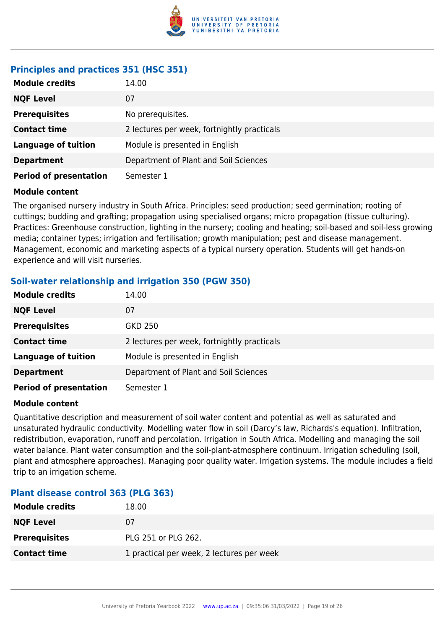

#### **Principles and practices 351 (HSC 351)**

| <b>Module credits</b>         | 14.00                                       |  |
|-------------------------------|---------------------------------------------|--|
| <b>NQF Level</b>              | 07                                          |  |
| <b>Prerequisites</b>          | No prerequisites.                           |  |
| <b>Contact time</b>           | 2 lectures per week, fortnightly practicals |  |
| <b>Language of tuition</b>    | Module is presented in English              |  |
| <b>Department</b>             | Department of Plant and Soil Sciences       |  |
| <b>Period of presentation</b> | Semester 1                                  |  |

#### **Module content**

The organised nursery industry in South Africa. Principles: seed production; seed germination; rooting of cuttings; budding and grafting; propagation using specialised organs; micro propagation (tissue culturing). Practices: Greenhouse construction, lighting in the nursery; cooling and heating; soil-based and soil-less growing media; container types; irrigation and fertilisation; growth manipulation; pest and disease management. Management, economic and marketing aspects of a typical nursery operation. Students will get hands-on experience and will visit nurseries.

#### **Soil-water relationship and irrigation 350 (PGW 350)**

| <b>Module credits</b>         | 14.00                                       |  |
|-------------------------------|---------------------------------------------|--|
| <b>NQF Level</b>              | 07                                          |  |
| <b>Prerequisites</b>          | <b>GKD 250</b>                              |  |
| <b>Contact time</b>           | 2 lectures per week, fortnightly practicals |  |
| <b>Language of tuition</b>    | Module is presented in English              |  |
| <b>Department</b>             | Department of Plant and Soil Sciences       |  |
| <b>Period of presentation</b> | Semester 1                                  |  |

#### **Module content**

Quantitative description and measurement of soil water content and potential as well as saturated and unsaturated hydraulic conductivity. Modelling water flow in soil (Darcy's law, Richards's equation). Infiltration, redistribution, evaporation, runoff and percolation. Irrigation in South Africa. Modelling and managing the soil water balance. Plant water consumption and the soil-plant-atmosphere continuum. Irrigation scheduling (soil, plant and atmosphere approaches). Managing poor quality water. Irrigation systems. The module includes a field trip to an irrigation scheme.

#### **Plant disease control 363 (PLG 363)**

| <b>Module credits</b> | 18.00                                     |
|-----------------------|-------------------------------------------|
| <b>NQF Level</b>      | 07                                        |
| <b>Prerequisites</b>  | PLG 251 or PLG 262.                       |
| <b>Contact time</b>   | 1 practical per week, 2 lectures per week |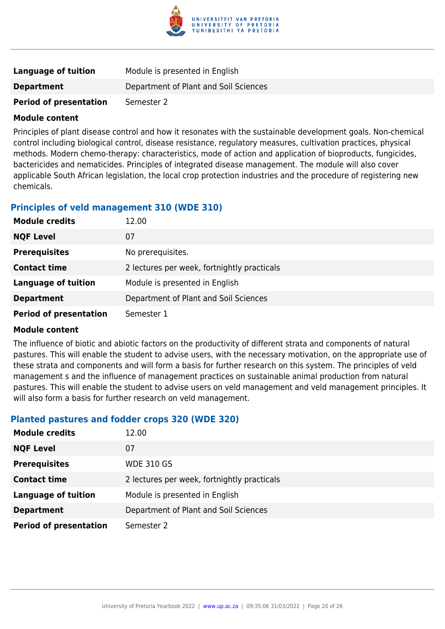

| <b>Language of tuition</b>    | Module is presented in English        |  |
|-------------------------------|---------------------------------------|--|
| <b>Department</b>             | Department of Plant and Soil Sciences |  |
| <b>Period of presentation</b> | Semester 2                            |  |

Principles of plant disease control and how it resonates with the sustainable development goals. Non-chemical control including biological control, disease resistance, regulatory measures, cultivation practices, physical methods. Modern chemo-therapy: characteristics, mode of action and application of bioproducts, fungicides, bactericides and nematicides. Principles of integrated disease management. The module will also cover applicable South African legislation, the local crop protection industries and the procedure of registering new chemicals.

#### **Principles of veld management 310 (WDE 310)**

| <b>Module credits</b>         | 12.00                                       |
|-------------------------------|---------------------------------------------|
| <b>NQF Level</b>              | 07                                          |
| <b>Prerequisites</b>          | No prerequisites.                           |
| <b>Contact time</b>           | 2 lectures per week, fortnightly practicals |
| <b>Language of tuition</b>    | Module is presented in English              |
| <b>Department</b>             | Department of Plant and Soil Sciences       |
| <b>Period of presentation</b> | Semester 1                                  |

#### **Module content**

The influence of biotic and abiotic factors on the productivity of different strata and components of natural pastures. This will enable the student to advise users, with the necessary motivation, on the appropriate use of these strata and components and will form a basis for further research on this system. The principles of veld management s and the influence of management practices on sustainable animal production from natural pastures. This will enable the student to advise users on veld management and veld management principles. It will also form a basis for further research on veld management.

#### **Planted pastures and fodder crops 320 (WDE 320)**

| <b>Module credits</b>         | 12.00                                       |  |
|-------------------------------|---------------------------------------------|--|
| <b>NQF Level</b>              | 07                                          |  |
| <b>Prerequisites</b>          | <b>WDE 310 GS</b>                           |  |
| <b>Contact time</b>           | 2 lectures per week, fortnightly practicals |  |
| <b>Language of tuition</b>    | Module is presented in English              |  |
| <b>Department</b>             | Department of Plant and Soil Sciences       |  |
| <b>Period of presentation</b> | Semester 2                                  |  |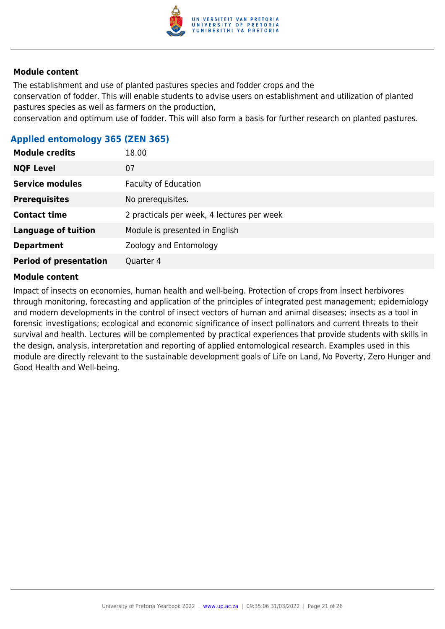

The establishment and use of planted pastures species and fodder crops and the

conservation of fodder. This will enable students to advise users on establishment and utilization of planted pastures species as well as farmers on the production,

conservation and optimum use of fodder. This will also form a basis for further research on planted pastures.

#### **Applied entomology 365 (ZEN 365)**

| <b>Module credits</b>         | 18.00                                      |  |
|-------------------------------|--------------------------------------------|--|
| <b>NQF Level</b>              | 07                                         |  |
| <b>Service modules</b>        | <b>Faculty of Education</b>                |  |
| <b>Prerequisites</b>          | No prerequisites.                          |  |
| <b>Contact time</b>           | 2 practicals per week, 4 lectures per week |  |
| <b>Language of tuition</b>    | Module is presented in English             |  |
| <b>Department</b>             | Zoology and Entomology                     |  |
| <b>Period of presentation</b> | Quarter 4                                  |  |

#### **Module content**

Impact of insects on economies, human health and well-being. Protection of crops from insect herbivores through monitoring, forecasting and application of the principles of integrated pest management; epidemiology and modern developments in the control of insect vectors of human and animal diseases; insects as a tool in forensic investigations; ecological and economic significance of insect pollinators and current threats to their survival and health. Lectures will be complemented by practical experiences that provide students with skills in the design, analysis, interpretation and reporting of applied entomological research. Examples used in this module are directly relevant to the sustainable development goals of Life on Land, No Poverty, Zero Hunger and Good Health and Well-being.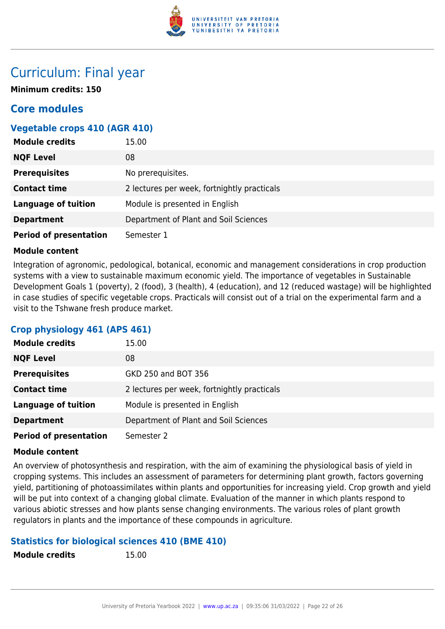

### Curriculum: Final year

**Minimum credits: 150**

### **Core modules**

#### **Vegetable crops 410 (AGR 410)**

| <b>Module credits</b>         | 15.00                                       |  |
|-------------------------------|---------------------------------------------|--|
| <b>NQF Level</b>              | 08                                          |  |
| <b>Prerequisites</b>          | No prerequisites.                           |  |
| <b>Contact time</b>           | 2 lectures per week, fortnightly practicals |  |
| <b>Language of tuition</b>    | Module is presented in English              |  |
| <b>Department</b>             | Department of Plant and Soil Sciences       |  |
| <b>Period of presentation</b> | Semester 1                                  |  |

#### **Module content**

Integration of agronomic, pedological, botanical, economic and management considerations in crop production systems with a view to sustainable maximum economic yield. The importance of vegetables in Sustainable Development Goals 1 (poverty), 2 (food), 3 (health), 4 (education), and 12 (reduced wastage) will be highlighted in case studies of specific vegetable crops. Practicals will consist out of a trial on the experimental farm and a visit to the Tshwane fresh produce market.

#### **Crop physiology 461 (APS 461)**

| <b>Module credits</b>         | 15.00                                       |
|-------------------------------|---------------------------------------------|
| <b>NQF Level</b>              | 08                                          |
| <b>Prerequisites</b>          | GKD 250 and BOT 356                         |
| <b>Contact time</b>           | 2 lectures per week, fortnightly practicals |
| <b>Language of tuition</b>    | Module is presented in English              |
| <b>Department</b>             | Department of Plant and Soil Sciences       |
| <b>Period of presentation</b> | Semester 2                                  |

#### **Module content**

An overview of photosynthesis and respiration, with the aim of examining the physiological basis of yield in cropping systems. This includes an assessment of parameters for determining plant growth, factors governing yield, partitioning of photoassimilates within plants and opportunities for increasing yield. Crop growth and yield will be put into context of a changing global climate. Evaluation of the manner in which plants respond to various abiotic stresses and how plants sense changing environments. The various roles of plant growth regulators in plants and the importance of these compounds in agriculture.

#### **Statistics for biological sciences 410 (BME 410)**

**Module credits** 15.00

| <b>Module credits</b> |  |  |
|-----------------------|--|--|
|-----------------------|--|--|

University of Pretoria Yearbook 2022 | [www.up.ac.za](https://www.up.ac.za/yearbooks/2022/programmes/view/02133431) | 09:35:06 31/03/2022 | Page 22 of 26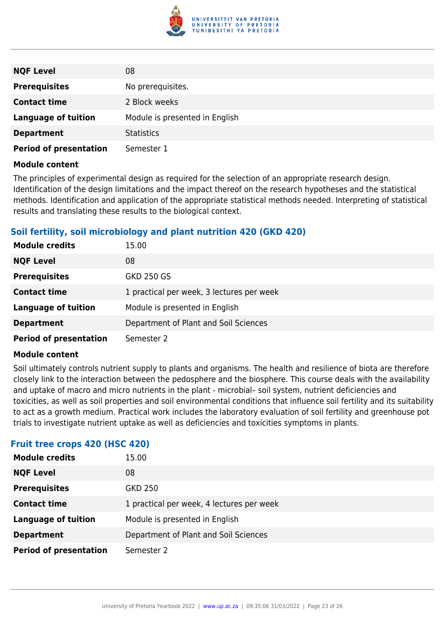

| <b>NQF Level</b>              | 08                             |
|-------------------------------|--------------------------------|
| <b>Prerequisites</b>          | No prerequisites.              |
| <b>Contact time</b>           | 2 Block weeks                  |
| <b>Language of tuition</b>    | Module is presented in English |
| <b>Department</b>             | <b>Statistics</b>              |
| <b>Period of presentation</b> | Semester 1                     |

The principles of experimental design as required for the selection of an appropriate research design. Identification of the design limitations and the impact thereof on the research hypotheses and the statistical methods. Identification and application of the appropriate statistical methods needed. Interpreting of statistical results and translating these results to the biological context.

#### **Soil fertility, soil microbiology and plant nutrition 420 (GKD 420)**

| <b>Module credits</b>         | 15.00                                     |
|-------------------------------|-------------------------------------------|
| <b>NQF Level</b>              | 08                                        |
| <b>Prerequisites</b>          | <b>GKD 250 GS</b>                         |
| <b>Contact time</b>           | 1 practical per week, 3 lectures per week |
| <b>Language of tuition</b>    | Module is presented in English            |
| <b>Department</b>             | Department of Plant and Soil Sciences     |
| <b>Period of presentation</b> | Semester 2                                |

#### **Module content**

Soil ultimately controls nutrient supply to plants and organisms. The health and resilience of biota are therefore closely link to the interaction between the pedosphere and the biosphere. This course deals with the availability and uptake of macro and micro nutrients in the plant - microbial– soil system, nutrient deficiencies and toxicities, as well as soil properties and soil environmental conditions that influence soil fertility and its suitability to act as a growth medium. Practical work includes the laboratory evaluation of soil fertility and greenhouse pot trials to investigate nutrient uptake as well as deficiencies and toxicities symptoms in plants.

#### **Fruit tree crops 420 (HSC 420)**

| <b>Module credits</b>         | 15.00                                     |
|-------------------------------|-------------------------------------------|
| <b>NQF Level</b>              | 08                                        |
| <b>Prerequisites</b>          | GKD 250                                   |
| <b>Contact time</b>           | 1 practical per week, 4 lectures per week |
| <b>Language of tuition</b>    | Module is presented in English            |
| <b>Department</b>             | Department of Plant and Soil Sciences     |
| <b>Period of presentation</b> | Semester 2                                |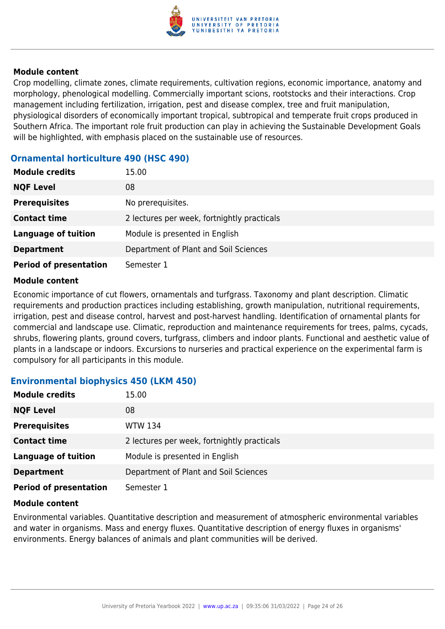

Crop modelling, climate zones, climate requirements, cultivation regions, economic importance, anatomy and morphology, phenological modelling. Commercially important scions, rootstocks and their interactions. Crop management including fertilization, irrigation, pest and disease complex, tree and fruit manipulation, physiological disorders of economically important tropical, subtropical and temperate fruit crops produced in Southern Africa. The important role fruit production can play in achieving the Sustainable Development Goals will be highlighted, with emphasis placed on the sustainable use of resources.

#### **Ornamental horticulture 490 (HSC 490)**

| <b>Module credits</b>         | 15.00                                       |
|-------------------------------|---------------------------------------------|
| <b>NQF Level</b>              | 08                                          |
| <b>Prerequisites</b>          | No prerequisites.                           |
| <b>Contact time</b>           | 2 lectures per week, fortnightly practicals |
| <b>Language of tuition</b>    | Module is presented in English              |
| <b>Department</b>             | Department of Plant and Soil Sciences       |
| <b>Period of presentation</b> | Semester 1                                  |

#### **Module content**

Economic importance of cut flowers, ornamentals and turfgrass. Taxonomy and plant description. Climatic requirements and production practices including establishing, growth manipulation, nutritional requirements, irrigation, pest and disease control, harvest and post-harvest handling. Identification of ornamental plants for commercial and landscape use. Climatic, reproduction and maintenance requirements for trees, palms, cycads, shrubs, flowering plants, ground covers, turfgrass, climbers and indoor plants. Functional and aesthetic value of plants in a landscape or indoors. Excursions to nurseries and practical experience on the experimental farm is compulsory for all participants in this module.

#### **Environmental biophysics 450 (LKM 450)**

| <b>Module credits</b>         | 15.00                                       |
|-------------------------------|---------------------------------------------|
| <b>NQF Level</b>              | 08                                          |
| <b>Prerequisites</b>          | <b>WTW 134</b>                              |
| <b>Contact time</b>           | 2 lectures per week, fortnightly practicals |
| <b>Language of tuition</b>    | Module is presented in English              |
| <b>Department</b>             | Department of Plant and Soil Sciences       |
| <b>Period of presentation</b> | Semester 1                                  |

#### **Module content**

Environmental variables. Quantitative description and measurement of atmospheric environmental variables and water in organisms. Mass and energy fluxes. Quantitative description of energy fluxes in organisms' environments. Energy balances of animals and plant communities will be derived.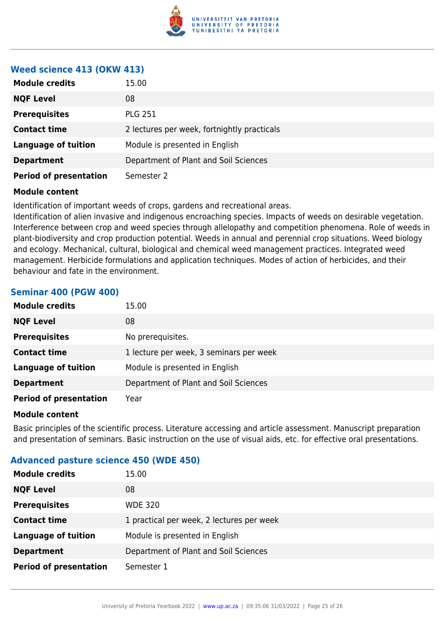

#### **Weed science 413 (OKW 413)**

| <b>Module credits</b>         | 15.00                                       |
|-------------------------------|---------------------------------------------|
| <b>NQF Level</b>              | 08                                          |
| <b>Prerequisites</b>          | <b>PLG 251</b>                              |
| <b>Contact time</b>           | 2 lectures per week, fortnightly practicals |
| <b>Language of tuition</b>    | Module is presented in English              |
| <b>Department</b>             | Department of Plant and Soil Sciences       |
| <b>Period of presentation</b> | Semester 2                                  |

#### **Module content**

Identification of important weeds of crops, gardens and recreational areas.

Identification of alien invasive and indigenous encroaching species. Impacts of weeds on desirable vegetation. Interference between crop and weed species through allelopathy and competition phenomena. Role of weeds in plant-biodiversity and crop production potential. Weeds in annual and perennial crop situations. Weed biology and ecology. Mechanical, cultural, biological and chemical weed management practices. Integrated weed management. Herbicide formulations and application techniques. Modes of action of herbicides, and their behaviour and fate in the environment.

#### **Seminar 400 (PGW 400)**

| <b>Module credits</b>         | 15.00                                   |
|-------------------------------|-----------------------------------------|
| <b>NQF Level</b>              | 08                                      |
| <b>Prerequisites</b>          | No prerequisites.                       |
| <b>Contact time</b>           | 1 lecture per week, 3 seminars per week |
| <b>Language of tuition</b>    | Module is presented in English          |
| <b>Department</b>             | Department of Plant and Soil Sciences   |
| <b>Period of presentation</b> | Year                                    |

#### **Module content**

Basic principles of the scientific process. Literature accessing and article assessment. Manuscript preparation and presentation of seminars. Basic instruction on the use of visual aids, etc. for effective oral presentations.

#### **Advanced pasture science 450 (WDE 450)**

| <b>Module credits</b>         | 15.00                                     |
|-------------------------------|-------------------------------------------|
| <b>NQF Level</b>              | 08                                        |
| <b>Prerequisites</b>          | <b>WDE 320</b>                            |
| <b>Contact time</b>           | 1 practical per week, 2 lectures per week |
| <b>Language of tuition</b>    | Module is presented in English            |
| <b>Department</b>             | Department of Plant and Soil Sciences     |
| <b>Period of presentation</b> | Semester 1                                |